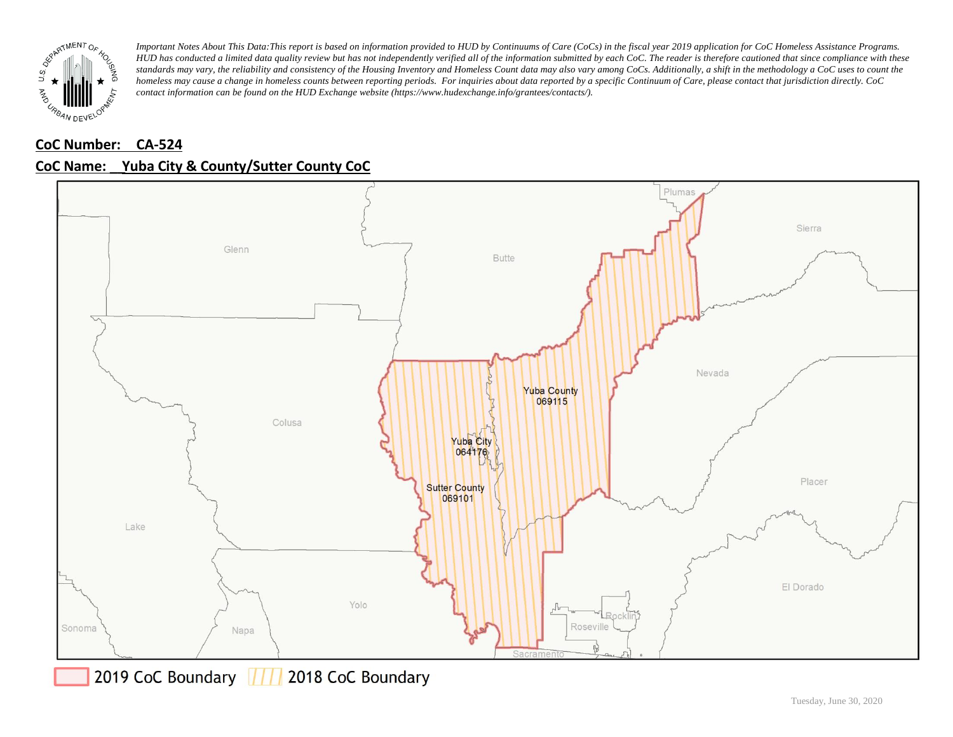

# **CoC Number: CA-524**





2019 CoC Boundary 777 2018 CoC Boundary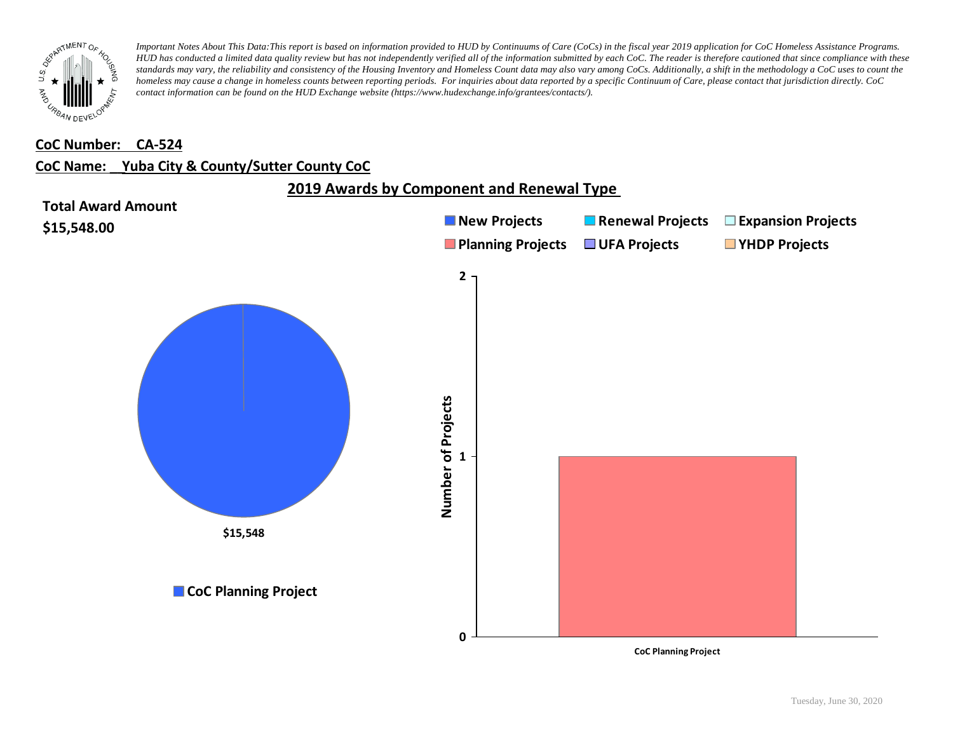

#### **CoC Number: CA-524**

### **CoC Name: \_\_ Yuba City & County/Sutter County CoC**



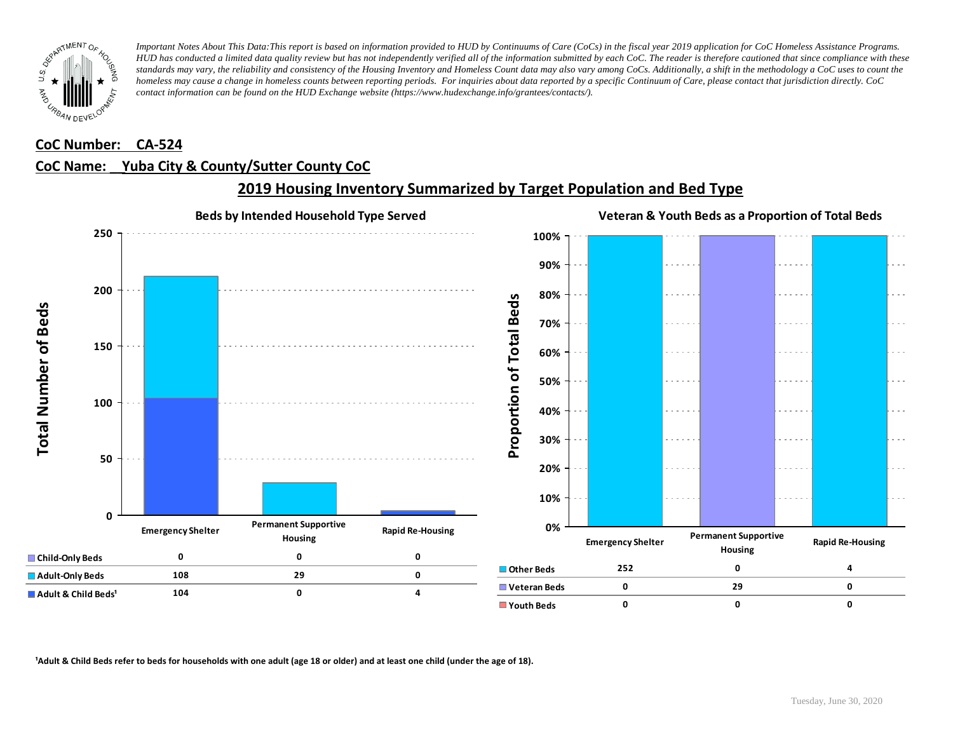

#### **CoC Number: CA-524**

### **CoC Name: \_\_ Yuba City & County/Sutter County CoC**



### **2019 Housing Inventory Summarized by Target Population and Bed Type**

<sup>1</sup> Adult & Child Beds refer to beds for households with one adult (age 18 or older) and at least one child (under the age of 18).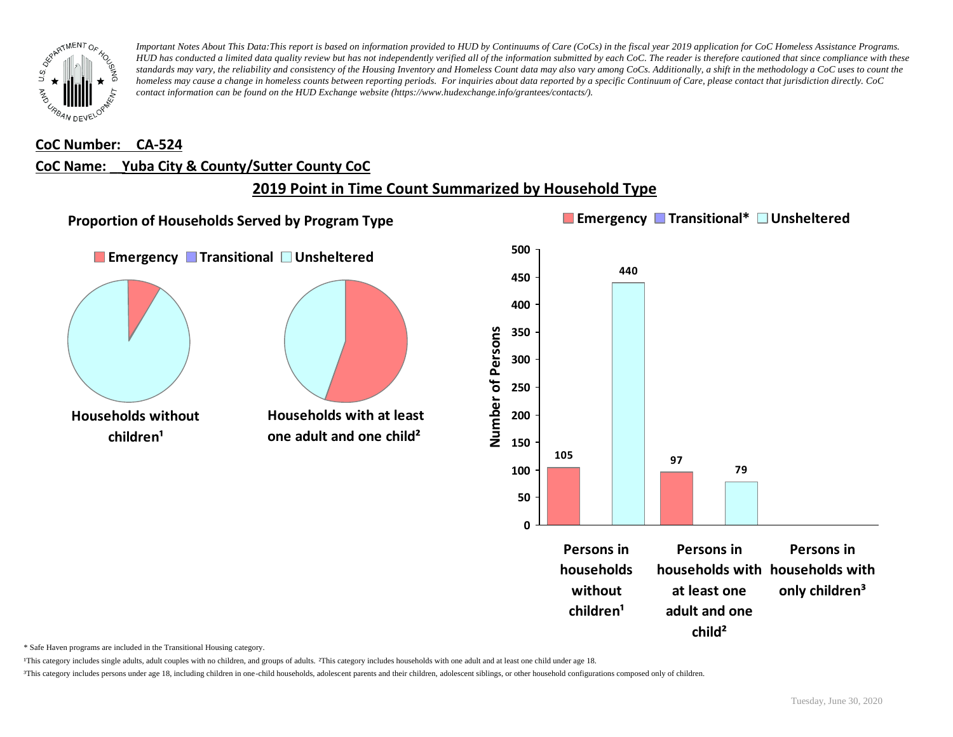

#### **CoC Number: CA-524**

### **CoC Name: \_\_ Yuba City & County/Sutter County CoC**

### **2019 Point in Time Count Summarized by Household Type**



\* Safe Haven programs are included in the Transitional Housing category.

¹This category includes single adults, adult couples with no children, and groups of adults. ²This category includes households with one adult and at least one child under age 18.

³This category includes persons under age 18, including children in one-child households, adolescent parents and their children, adolescent siblings, or other household configurations composed only of children.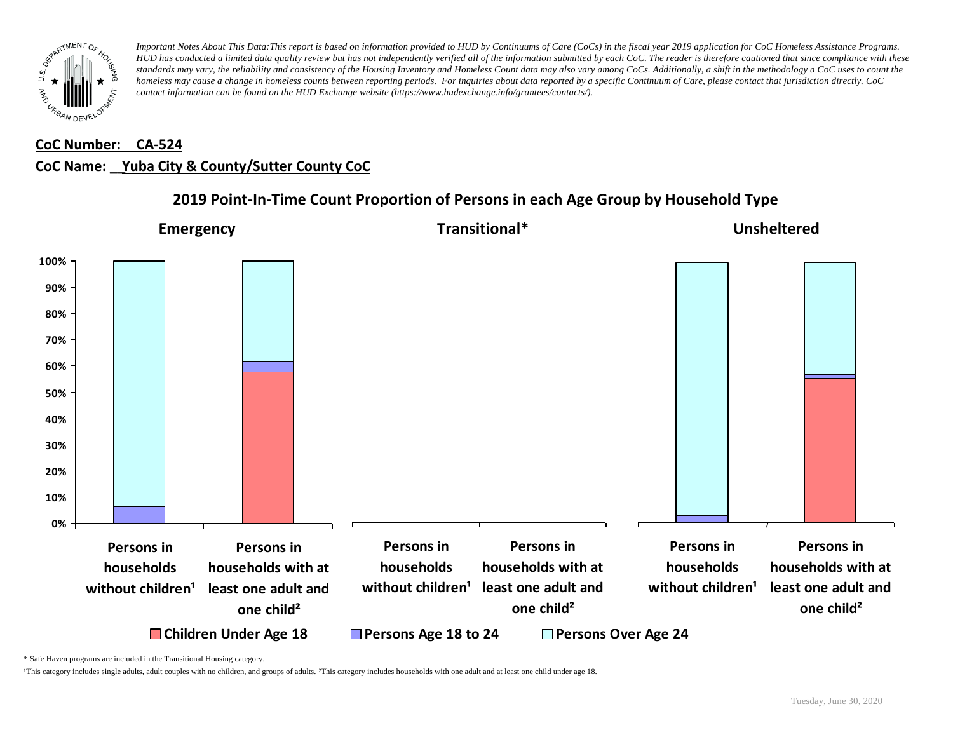

# **CoC Number: CA-524 CoC Name: \_\_ Yuba City & County/Sutter County CoC**

# **2019 Point-In-Time Count Proportion of Persons in each Age Group by Household Type**



\* Safe Haven programs are included in the Transitional Housing category.

¹This category includes single adults, adult couples with no children, and groups of adults. ²This category includes households with one adult and at least one child under age 18.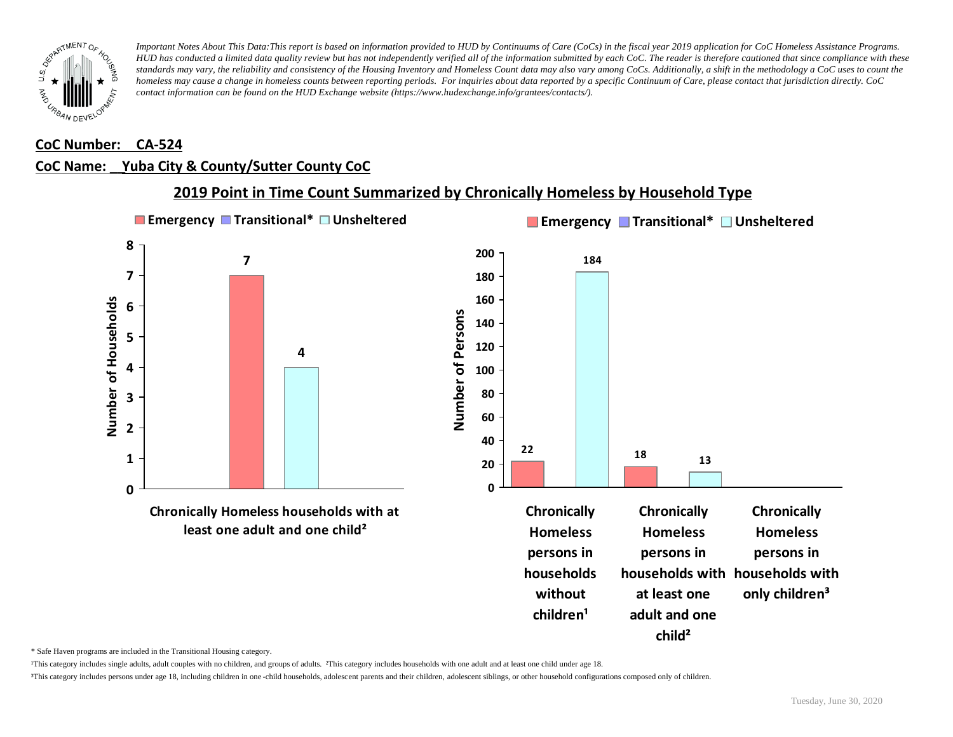

#### **CoC Number: CA-524**

### **CoC Name: \_\_ Yuba City & County/Sutter County CoC**



**2019 Point in Time Count Summarized by Chronically Homeless by Household Type**

\* Safe Haven programs are included in the Transitional Housing category.

¹This category includes single adults, adult couples with no children, and groups of adults. ²This category includes households with one adult and at least one child under age 18.

³This category includes persons under age 18, including children in one -child households, adolescent parents and their children, adolescent siblings, or other household configurations composed only of children.